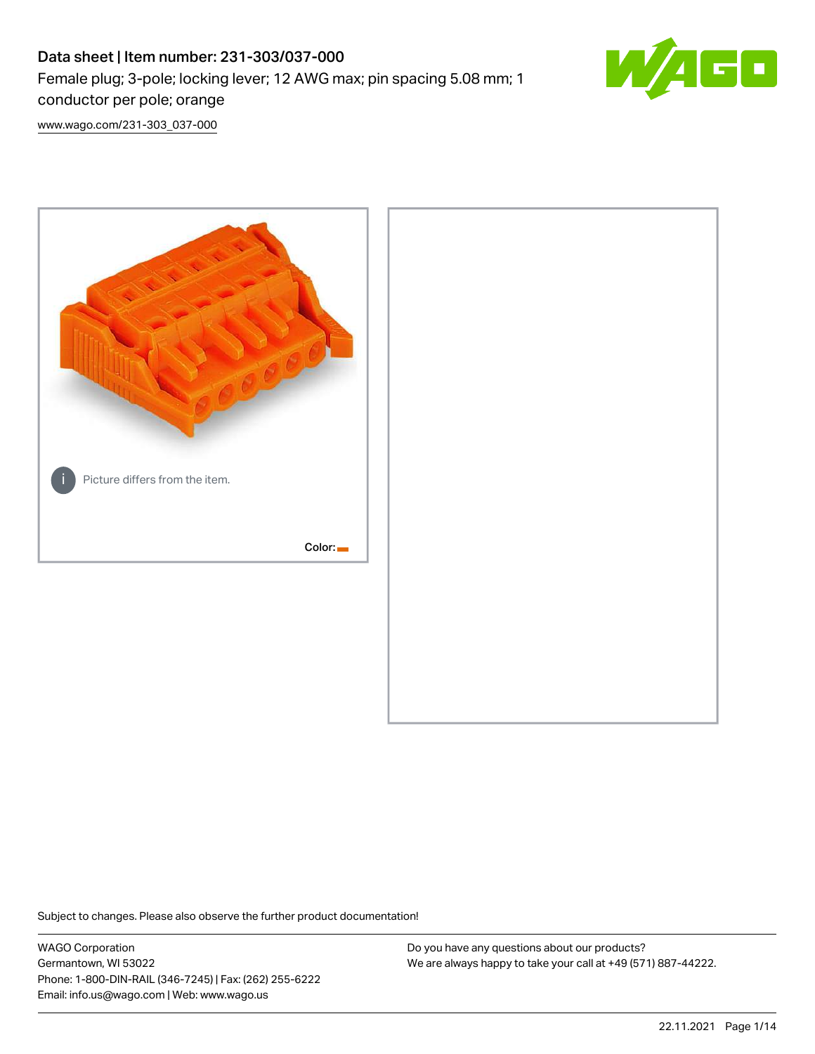# Data sheet | Item number: 231-303/037-000 Female plug; 3-pole; locking lever; 12 AWG max; pin spacing 5.08 mm; 1 conductor per pole; orange



[www.wago.com/231-303\\_037-000](http://www.wago.com/231-303_037-000)



Subject to changes. Please also observe the further product documentation!

WAGO Corporation Germantown, WI 53022 Phone: 1-800-DIN-RAIL (346-7245) | Fax: (262) 255-6222 Email: info.us@wago.com | Web: www.wago.us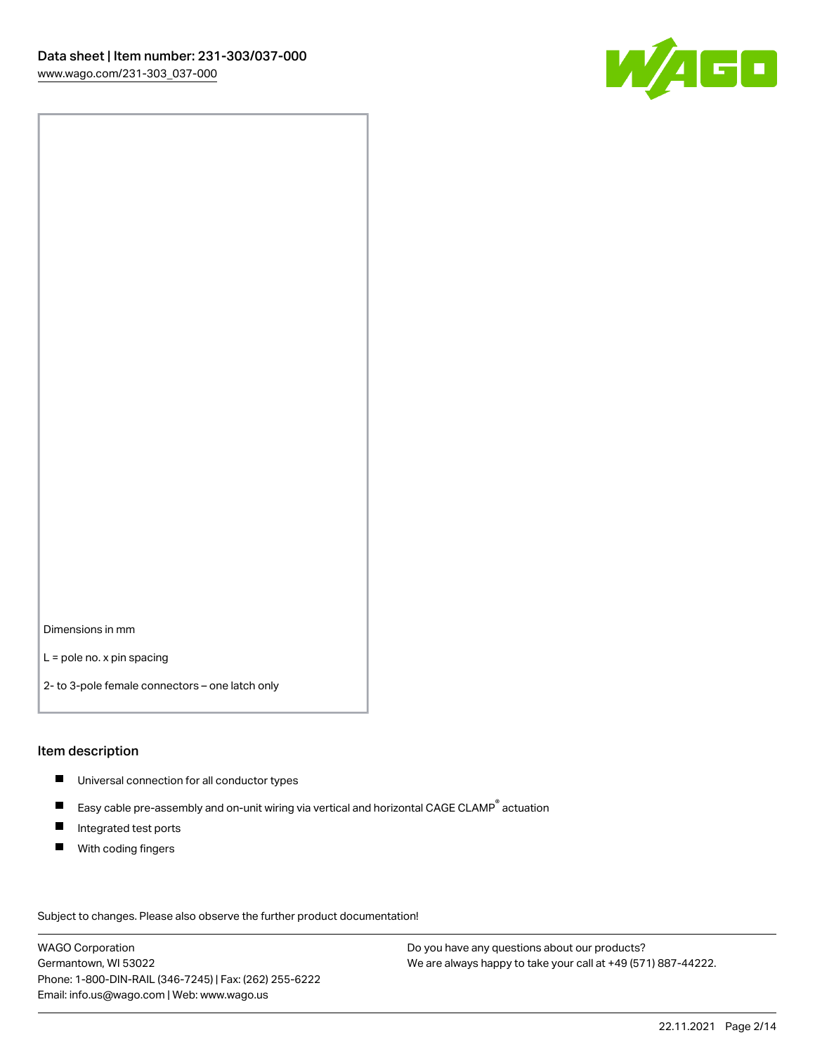

Dimensions in mm

L = pole no. x pin spacing

2- to 3-pole female connectors – one latch only

#### Item description

- **Universal connection for all conductor types**
- Easy cable pre-assembly and on-unit wiring via vertical and horizontal CAGE CLAMP<sup>®</sup> actuation  $\blacksquare$
- $\blacksquare$ Integrated test ports
- $\blacksquare$ With coding fingers

Subject to changes. Please also observe the further product documentation! Data

WAGO Corporation Germantown, WI 53022 Phone: 1-800-DIN-RAIL (346-7245) | Fax: (262) 255-6222 Email: info.us@wago.com | Web: www.wago.us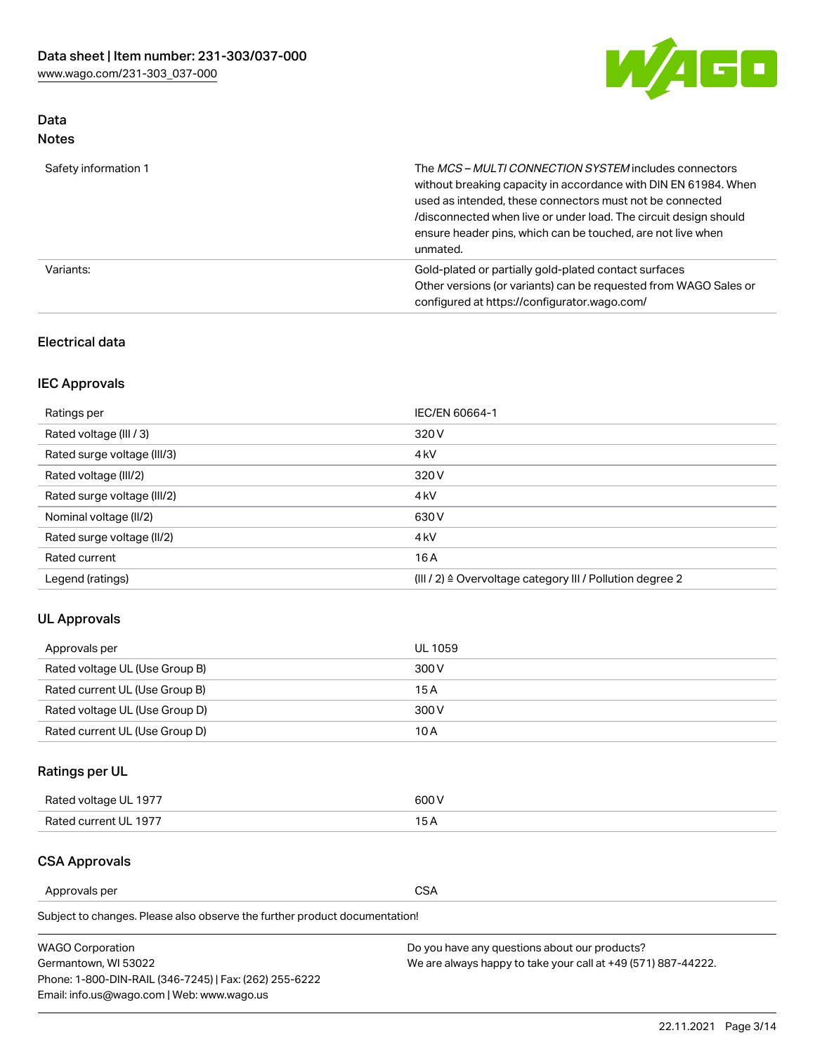

## Data Notes

| Safety information 1 | The MCS-MULTI CONNECTION SYSTEM includes connectors<br>without breaking capacity in accordance with DIN EN 61984. When<br>used as intended, these connectors must not be connected<br>/disconnected when live or under load. The circuit design should<br>ensure header pins, which can be touched, are not live when<br>unmated. |
|----------------------|-----------------------------------------------------------------------------------------------------------------------------------------------------------------------------------------------------------------------------------------------------------------------------------------------------------------------------------|
| Variants:            | Gold-plated or partially gold-plated contact surfaces<br>Other versions (or variants) can be requested from WAGO Sales or<br>configured at https://configurator.wago.com/                                                                                                                                                         |

#### Electrical data

## IEC Approvals

| Ratings per                 | IEC/EN 60664-1                                                        |
|-----------------------------|-----------------------------------------------------------------------|
| Rated voltage (III / 3)     | 320 V                                                                 |
| Rated surge voltage (III/3) | 4 <sub>k</sub> V                                                      |
| Rated voltage (III/2)       | 320 V                                                                 |
| Rated surge voltage (III/2) | 4 <sub>k</sub> V                                                      |
| Nominal voltage (II/2)      | 630 V                                                                 |
| Rated surge voltage (II/2)  | 4 <sub>k</sub> V                                                      |
| Rated current               | 16 A                                                                  |
| Legend (ratings)            | $(III / 2)$ $\triangle$ Overvoltage category III / Pollution degree 2 |

#### UL Approvals

| Approvals per                  | UL 1059 |
|--------------------------------|---------|
| Rated voltage UL (Use Group B) | 300 V   |
| Rated current UL (Use Group B) | 15 A    |
| Rated voltage UL (Use Group D) | 300 V   |
| Rated current UL (Use Group D) | 10 A    |

# Ratings per UL

| Rated voltage UL 1977 | 600 V         |
|-----------------------|---------------|
| Rated current UL 1977 | $\sim$ $\sim$ |

## CSA Approvals

Approvals per CSA

Subject to changes. Please also observe the further product documentation!

| <b>WAGO Corporation</b>                                | Do you have any questions about our products?                 |
|--------------------------------------------------------|---------------------------------------------------------------|
| Germantown, WI 53022                                   | We are always happy to take your call at +49 (571) 887-44222. |
| Phone: 1-800-DIN-RAIL (346-7245)   Fax: (262) 255-6222 |                                                               |
| Email: info.us@wago.com   Web: www.wago.us             |                                                               |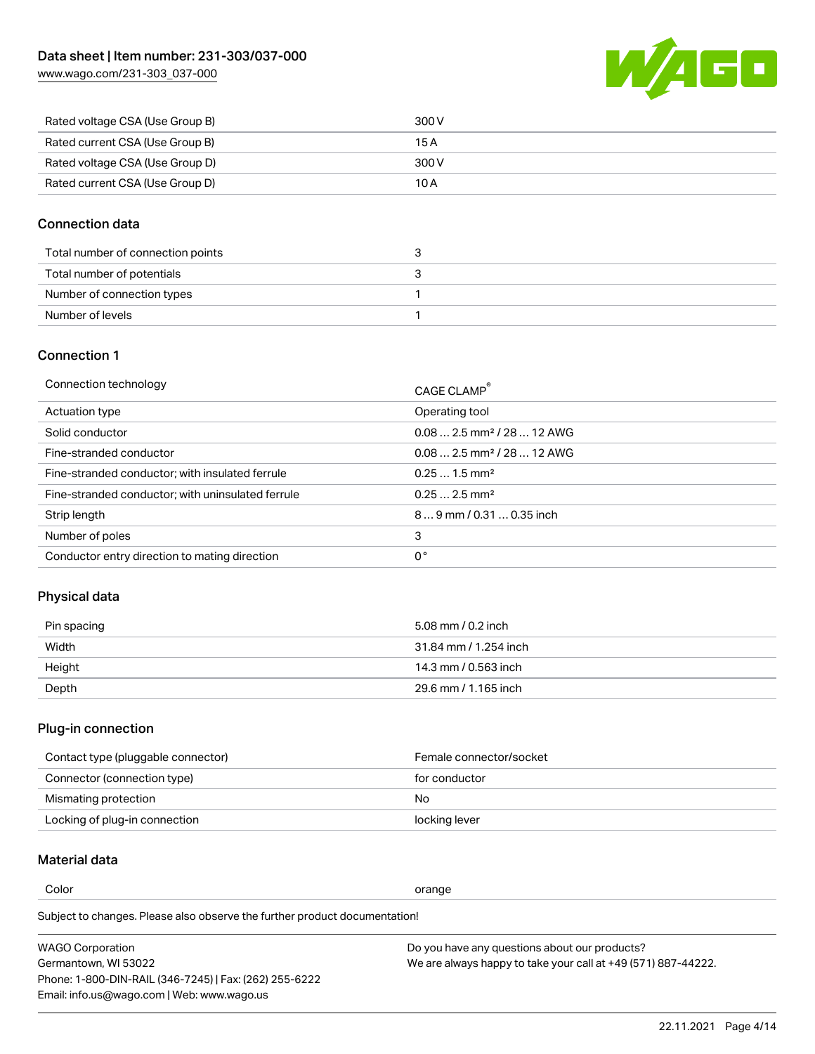[www.wago.com/231-303\\_037-000](http://www.wago.com/231-303_037-000)



| Rated voltage CSA (Use Group B) | 300 V |
|---------------------------------|-------|
| Rated current CSA (Use Group B) | 15 A  |
| Rated voltage CSA (Use Group D) | 300 V |
| Rated current CSA (Use Group D) | 10 A  |

#### Connection data

| Total number of connection points |  |
|-----------------------------------|--|
| Total number of potentials        |  |
| Number of connection types        |  |
| Number of levels                  |  |

#### Connection 1

| Connection technology                             | CAGE CLAMP <sup>®</sup>                 |
|---------------------------------------------------|-----------------------------------------|
| Actuation type                                    | Operating tool                          |
| Solid conductor                                   | $0.082.5$ mm <sup>2</sup> / 28  12 AWG  |
| Fine-stranded conductor                           | $0.08$ 2.5 mm <sup>2</sup> / 28  12 AWG |
| Fine-stranded conductor; with insulated ferrule   | $0.251.5$ mm <sup>2</sup>               |
| Fine-stranded conductor; with uninsulated ferrule | $0.252.5$ mm <sup>2</sup>               |
| Strip length                                      | $89$ mm $/$ 0.31  0.35 inch             |
| Number of poles                                   | 3                                       |
| Conductor entry direction to mating direction     | 0°                                      |

# Physical data

| Pin spacing | 5.08 mm / 0.2 inch    |
|-------------|-----------------------|
| Width       | 31.84 mm / 1.254 inch |
| Height      | 14.3 mm / 0.563 inch  |
| Depth       | 29.6 mm / 1.165 inch  |

#### Plug-in connection

| Contact type (pluggable connector) | Female connector/socket |
|------------------------------------|-------------------------|
| Connector (connection type)        | for conductor           |
| Mismating protection               | No                      |
| Locking of plug-in connection      | locking lever           |

#### Material data

Color contracts and contracts of the contracts of the contracts of the contracts of the contracts of the contracts of the contracts of the contracts of the contracts of the contracts of the contracts of the contracts of th

Subject to changes. Please also observe the further product documentation! Material group I

| <b>WAGO Corporation</b>                                | Do you have any questions about our products?                 |
|--------------------------------------------------------|---------------------------------------------------------------|
| Germantown, WI 53022                                   | We are always happy to take your call at +49 (571) 887-44222. |
| Phone: 1-800-DIN-RAIL (346-7245)   Fax: (262) 255-6222 |                                                               |
| Email: info.us@wago.com   Web: www.wago.us             |                                                               |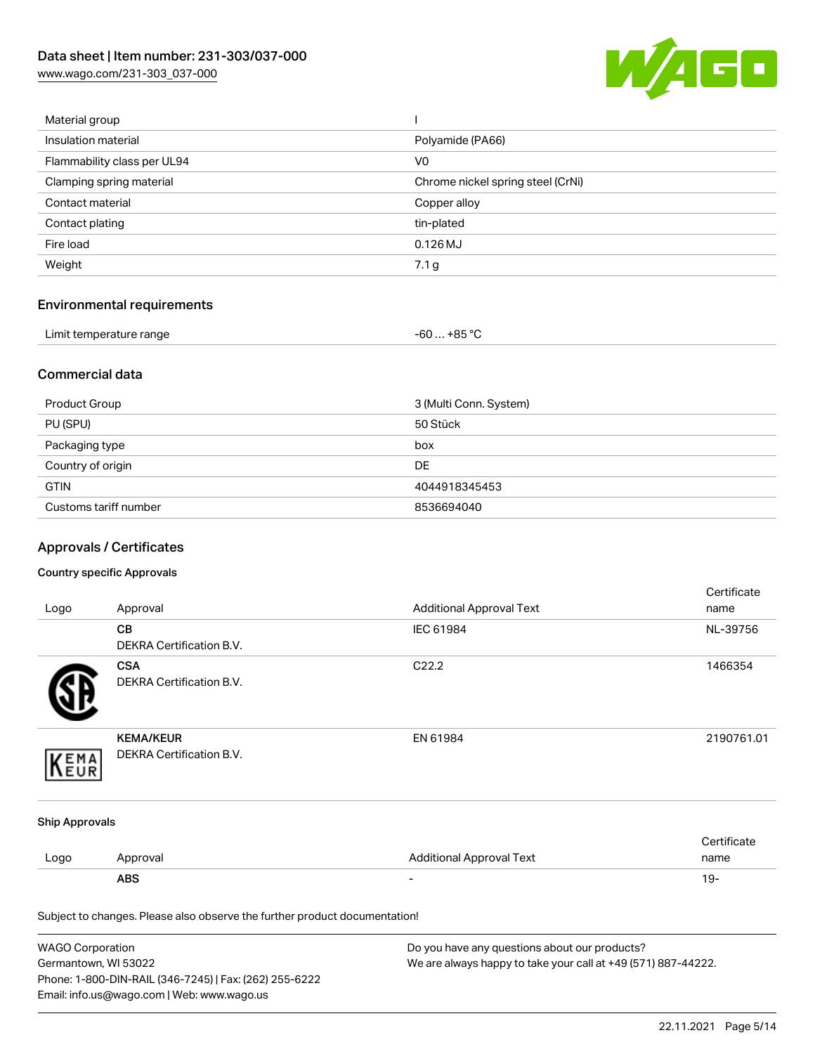[www.wago.com/231-303\\_037-000](http://www.wago.com/231-303_037-000)



| Material group              |                                   |
|-----------------------------|-----------------------------------|
| Insulation material         | Polyamide (PA66)                  |
| Flammability class per UL94 | V <sub>0</sub>                    |
| Clamping spring material    | Chrome nickel spring steel (CrNi) |
| Contact material            | Copper alloy                      |
| Contact plating             | tin-plated                        |
| Fire load                   | $0.126$ MJ                        |
| Weight                      | 7.1 g                             |
|                             |                                   |

# Environmental requirements

| Limit temperature range<br>. | . +85 °Ր<br>co<br>-ou |  |
|------------------------------|-----------------------|--|
|------------------------------|-----------------------|--|

#### Commercial data

| Product Group         | 3 (Multi Conn. System) |
|-----------------------|------------------------|
| PU (SPU)              | 50 Stück               |
| Packaging type        | box                    |
| Country of origin     | <b>DE</b>              |
| <b>GTIN</b>           | 4044918345453          |
| Customs tariff number | 8536694040             |

# Approvals / Certificates

#### Country specific Approvals

| Logo                  | Approval                                                                   | <b>Additional Approval Text</b> | Certificate<br>name |
|-----------------------|----------------------------------------------------------------------------|---------------------------------|---------------------|
|                       | CВ<br>DEKRA Certification B.V.                                             | IEC 61984                       | NL-39756            |
|                       | <b>CSA</b><br><b>DEKRA Certification B.V.</b>                              | C22.2                           | 1466354             |
| EMA                   | <b>KEMA/KEUR</b><br>DEKRA Certification B.V.                               | EN 61984                        | 2190761.01          |
| <b>Ship Approvals</b> |                                                                            |                                 |                     |
| Logo                  | Approval                                                                   | <b>Additional Approval Text</b> | Certificate<br>name |
|                       | <b>ABS</b>                                                                 |                                 | $19 -$              |
|                       | Subject to changes. Please also observe the further product documentation! |                                 |                     |

| WAGO Corporation                                       | Do you have any questions about our products?                 |
|--------------------------------------------------------|---------------------------------------------------------------|
| Germantown, WI 53022                                   | We are always happy to take your call at +49 (571) 887-44222. |
| Phone: 1-800-DIN-RAIL (346-7245)   Fax: (262) 255-6222 |                                                               |
| Email: info.us@wago.com   Web: www.wago.us             |                                                               |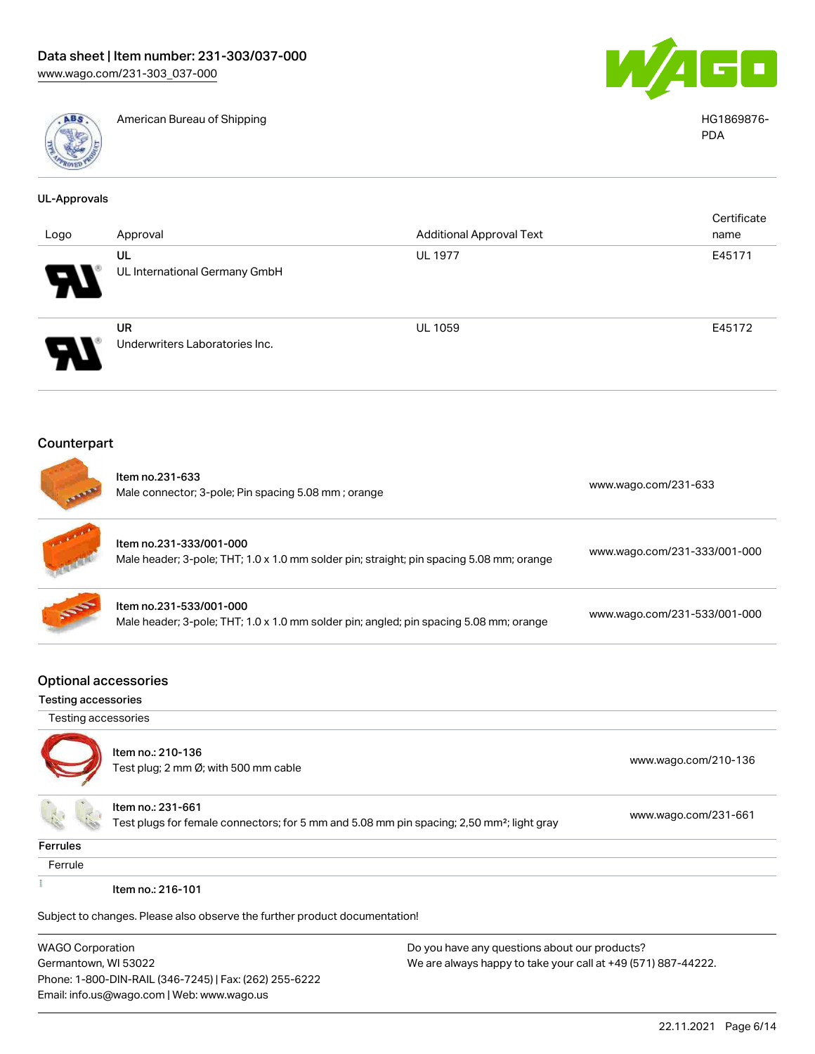

Germantown, WI 53022

Phone: 1-800-DIN-RAIL (346-7245) | Fax: (262) 255-6222

Email: info.us@wago.com | Web: www.wago.us

American Bureau of Shipping **HG1869876-** American Bureau of Shipping **HG1869876-**



PDA

| <b>UL-Approvals</b>                                       |                                                                                                                            |                                 |                              |  |
|-----------------------------------------------------------|----------------------------------------------------------------------------------------------------------------------------|---------------------------------|------------------------------|--|
|                                                           |                                                                                                                            |                                 | Certificate                  |  |
| Logo                                                      | Approval                                                                                                                   | <b>Additional Approval Text</b> | name                         |  |
|                                                           | UL<br>UL International Germany GmbH                                                                                        | <b>UL 1977</b>                  | E45171                       |  |
|                                                           | <b>UR</b><br>Underwriters Laboratories Inc.                                                                                | <b>UL 1059</b>                  | E45172                       |  |
| Counterpart                                               |                                                                                                                            |                                 |                              |  |
|                                                           | Item no.231-633<br>Male connector; 3-pole; Pin spacing 5.08 mm; orange                                                     |                                 | www.wago.com/231-633         |  |
|                                                           | Item no.231-333/001-000<br>Male header; 3-pole; THT; 1.0 x 1.0 mm solder pin; straight; pin spacing 5.08 mm; orange        |                                 | www.wago.com/231-333/001-000 |  |
|                                                           | Item no.231-533/001-000<br>Male header; 3-pole; THT; 1.0 x 1.0 mm solder pin; angled; pin spacing 5.08 mm; orange          |                                 | www.wago.com/231-533/001-000 |  |
| <b>Optional accessories</b><br><b>Testing accessories</b> |                                                                                                                            |                                 |                              |  |
| Testing accessories                                       |                                                                                                                            |                                 |                              |  |
|                                                           | Item no.: 210-136<br>Test plug; 2 mm Ø; with 500 mm cable                                                                  |                                 | www.wago.com/210-136         |  |
|                                                           | Item no.: 231-661<br>Test plugs for female connectors; for 5 mm and 5.08 mm pin spacing; 2,50 mm <sup>2</sup> ; light gray |                                 | www.wago.com/231-661         |  |
| Ferrules                                                  |                                                                                                                            |                                 |                              |  |
| Ferrule                                                   |                                                                                                                            |                                 |                              |  |
|                                                           | Item no.: 216-101                                                                                                          |                                 |                              |  |
|                                                           | Subject to changes. Please also observe the further product documentation!                                                 |                                 |                              |  |
| <b>WAGO Corporation</b>                                   | Do you have any questions about our products?                                                                              |                                 |                              |  |

22.11.2021 Page 6/14

We are always happy to take your call at +49 (571) 887-44222.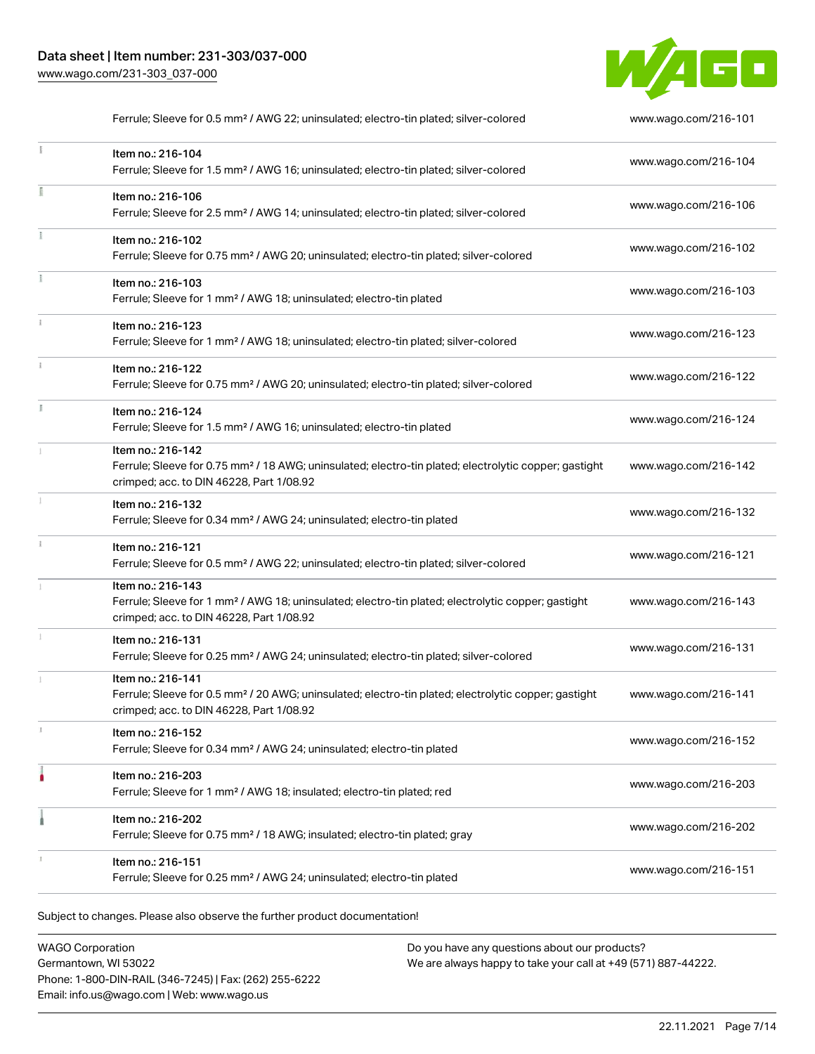

|    | Ferrule; Sleeve for 0.5 mm <sup>2</sup> / AWG 22; uninsulated; electro-tin plated; silver-colored                                                                                  | www.wago.com/216-101 |
|----|------------------------------------------------------------------------------------------------------------------------------------------------------------------------------------|----------------------|
|    | Item no.: 216-104<br>Ferrule; Sleeve for 1.5 mm <sup>2</sup> / AWG 16; uninsulated; electro-tin plated; silver-colored                                                             | www.wago.com/216-104 |
|    | Item no.: 216-106<br>Ferrule; Sleeve for 2.5 mm <sup>2</sup> / AWG 14; uninsulated; electro-tin plated; silver-colored                                                             | www.wago.com/216-106 |
|    | Item no.: 216-102<br>Ferrule; Sleeve for 0.75 mm <sup>2</sup> / AWG 20; uninsulated; electro-tin plated; silver-colored                                                            | www.wago.com/216-102 |
|    | Item no.: 216-103<br>Ferrule; Sleeve for 1 mm <sup>2</sup> / AWG 18; uninsulated; electro-tin plated                                                                               | www.wago.com/216-103 |
|    | Item no.: 216-123<br>Ferrule; Sleeve for 1 mm <sup>2</sup> / AWG 18; uninsulated; electro-tin plated; silver-colored                                                               | www.wago.com/216-123 |
| ĵ. | Item no.: 216-122<br>Ferrule; Sleeve for 0.75 mm <sup>2</sup> / AWG 20; uninsulated; electro-tin plated; silver-colored                                                            | www.wago.com/216-122 |
|    | Item no.: 216-124<br>Ferrule; Sleeve for 1.5 mm <sup>2</sup> / AWG 16; uninsulated; electro-tin plated                                                                             | www.wago.com/216-124 |
|    | Item no.: 216-142<br>Ferrule; Sleeve for 0.75 mm <sup>2</sup> / 18 AWG; uninsulated; electro-tin plated; electrolytic copper; gastight<br>crimped; acc. to DIN 46228, Part 1/08.92 | www.wago.com/216-142 |
|    | Item no.: 216-132<br>Ferrule; Sleeve for 0.34 mm <sup>2</sup> / AWG 24; uninsulated; electro-tin plated                                                                            | www.wago.com/216-132 |
|    | Item no.: 216-121<br>Ferrule; Sleeve for 0.5 mm <sup>2</sup> / AWG 22; uninsulated; electro-tin plated; silver-colored                                                             | www.wago.com/216-121 |
|    | Item no.: 216-143<br>Ferrule; Sleeve for 1 mm <sup>2</sup> / AWG 18; uninsulated; electro-tin plated; electrolytic copper; gastight<br>crimped; acc. to DIN 46228, Part 1/08.92    | www.wago.com/216-143 |
| I. | Item no.: 216-131<br>Ferrule; Sleeve for 0.25 mm <sup>2</sup> / AWG 24; uninsulated; electro-tin plated; silver-colored                                                            | www.wago.com/216-131 |
|    | Item no.: 216-141<br>Ferrule; Sleeve for 0.5 mm <sup>2</sup> / 20 AWG; uninsulated; electro-tin plated; electrolytic copper; gastight<br>crimped; acc. to DIN 46228, Part 1/08.92  | www.wago.com/216-141 |
|    | Item no.: 216-152<br>Ferrule; Sleeve for 0.34 mm <sup>2</sup> / AWG 24; uninsulated; electro-tin plated                                                                            | www.wago.com/216-152 |
|    | Item no.: 216-203<br>Ferrule; Sleeve for 1 mm <sup>2</sup> / AWG 18; insulated; electro-tin plated; red                                                                            | www.wago.com/216-203 |
|    | Item no.: 216-202<br>Ferrule; Sleeve for 0.75 mm <sup>2</sup> / 18 AWG; insulated; electro-tin plated; gray                                                                        | www.wago.com/216-202 |
|    | Item no.: 216-151<br>Ferrule; Sleeve for 0.25 mm <sup>2</sup> / AWG 24; uninsulated; electro-tin plated                                                                            | www.wago.com/216-151 |

Subject to changes. Please also observe the further product documentation!

WAGO Corporation Germantown, WI 53022 Phone: 1-800-DIN-RAIL (346-7245) | Fax: (262) 255-6222 Email: info.us@wago.com | Web: www.wago.us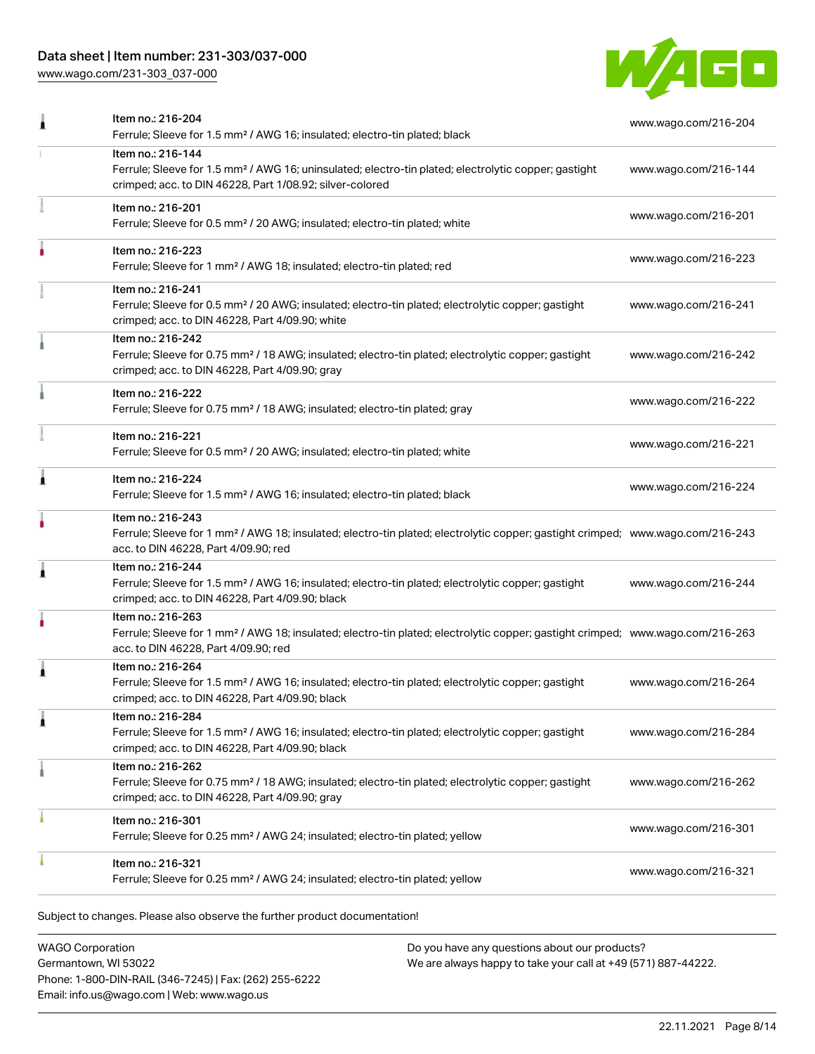## Data sheet | Item number: 231-303/037-000

[www.wago.com/231-303\\_037-000](http://www.wago.com/231-303_037-000)



|   | Item no.: 216-204<br>Ferrule; Sleeve for 1.5 mm <sup>2</sup> / AWG 16; insulated; electro-tin plated; black                                                                                             | www.wago.com/216-204 |
|---|---------------------------------------------------------------------------------------------------------------------------------------------------------------------------------------------------------|----------------------|
|   | Item no.: 216-144<br>Ferrule; Sleeve for 1.5 mm <sup>2</sup> / AWG 16; uninsulated; electro-tin plated; electrolytic copper; gastight<br>crimped; acc. to DIN 46228, Part 1/08.92; silver-colored       | www.wago.com/216-144 |
|   | Item no.: 216-201<br>Ferrule; Sleeve for 0.5 mm <sup>2</sup> / 20 AWG; insulated; electro-tin plated; white                                                                                             | www.wago.com/216-201 |
|   | Item no.: 216-223<br>Ferrule; Sleeve for 1 mm <sup>2</sup> / AWG 18; insulated; electro-tin plated; red                                                                                                 | www.wago.com/216-223 |
|   | Item no.: 216-241<br>Ferrule; Sleeve for 0.5 mm <sup>2</sup> / 20 AWG; insulated; electro-tin plated; electrolytic copper; gastight<br>crimped; acc. to DIN 46228, Part 4/09.90; white                  | www.wago.com/216-241 |
|   | Item no.: 216-242<br>Ferrule; Sleeve for 0.75 mm <sup>2</sup> / 18 AWG; insulated; electro-tin plated; electrolytic copper; gastight<br>crimped; acc. to DIN 46228, Part 4/09.90; gray                  | www.wago.com/216-242 |
|   | Item no.: 216-222<br>Ferrule; Sleeve for 0.75 mm <sup>2</sup> / 18 AWG; insulated; electro-tin plated; gray                                                                                             | www.wago.com/216-222 |
|   | Item no.: 216-221<br>Ferrule; Sleeve for 0.5 mm <sup>2</sup> / 20 AWG; insulated; electro-tin plated; white                                                                                             | www.wago.com/216-221 |
| Â | Item no.: 216-224<br>Ferrule; Sleeve for 1.5 mm <sup>2</sup> / AWG 16; insulated; electro-tin plated; black                                                                                             | www.wago.com/216-224 |
|   | Item no.: 216-243<br>Ferrule; Sleeve for 1 mm <sup>2</sup> / AWG 18; insulated; electro-tin plated; electrolytic copper; gastight crimped; www.wago.com/216-243<br>acc. to DIN 46228, Part 4/09.90; red |                      |
| Â | Item no.: 216-244<br>Ferrule; Sleeve for 1.5 mm <sup>2</sup> / AWG 16; insulated; electro-tin plated; electrolytic copper; gastight<br>crimped; acc. to DIN 46228, Part 4/09.90; black                  | www.wago.com/216-244 |
|   | Item no.: 216-263<br>Ferrule; Sleeve for 1 mm <sup>2</sup> / AWG 18; insulated; electro-tin plated; electrolytic copper; gastight crimped; www.wago.com/216-263<br>acc. to DIN 46228, Part 4/09.90; red |                      |
| ۸ | Item no.: 216-264<br>Ferrule; Sleeve for 1.5 mm <sup>2</sup> / AWG 16; insulated; electro-tin plated; electrolytic copper; gastight<br>crimped; acc. to DIN 46228, Part 4/09.90; black                  | www.wago.com/216-264 |
|   | Item no.: 216-284<br>Ferrule; Sleeve for 1.5 mm <sup>2</sup> / AWG 16; insulated; electro-tin plated; electrolytic copper; gastight<br>crimped; acc. to DIN 46228, Part 4/09.90; black                  | www.wago.com/216-284 |
|   | Item no.: 216-262<br>Ferrule; Sleeve for 0.75 mm <sup>2</sup> / 18 AWG; insulated; electro-tin plated; electrolytic copper; gastight<br>crimped; acc. to DIN 46228, Part 4/09.90; gray                  | www.wago.com/216-262 |
|   | Item no.: 216-301<br>Ferrule; Sleeve for 0.25 mm <sup>2</sup> / AWG 24; insulated; electro-tin plated; yellow                                                                                           | www.wago.com/216-301 |
|   | Item no.: 216-321<br>Ferrule; Sleeve for 0.25 mm <sup>2</sup> / AWG 24; insulated; electro-tin plated; yellow                                                                                           | www.wago.com/216-321 |
|   |                                                                                                                                                                                                         |                      |

Subject to changes. Please also observe the further product documentation!

WAGO Corporation Germantown, WI 53022 Phone: 1-800-DIN-RAIL (346-7245) | Fax: (262) 255-6222 Email: info.us@wago.com | Web: www.wago.us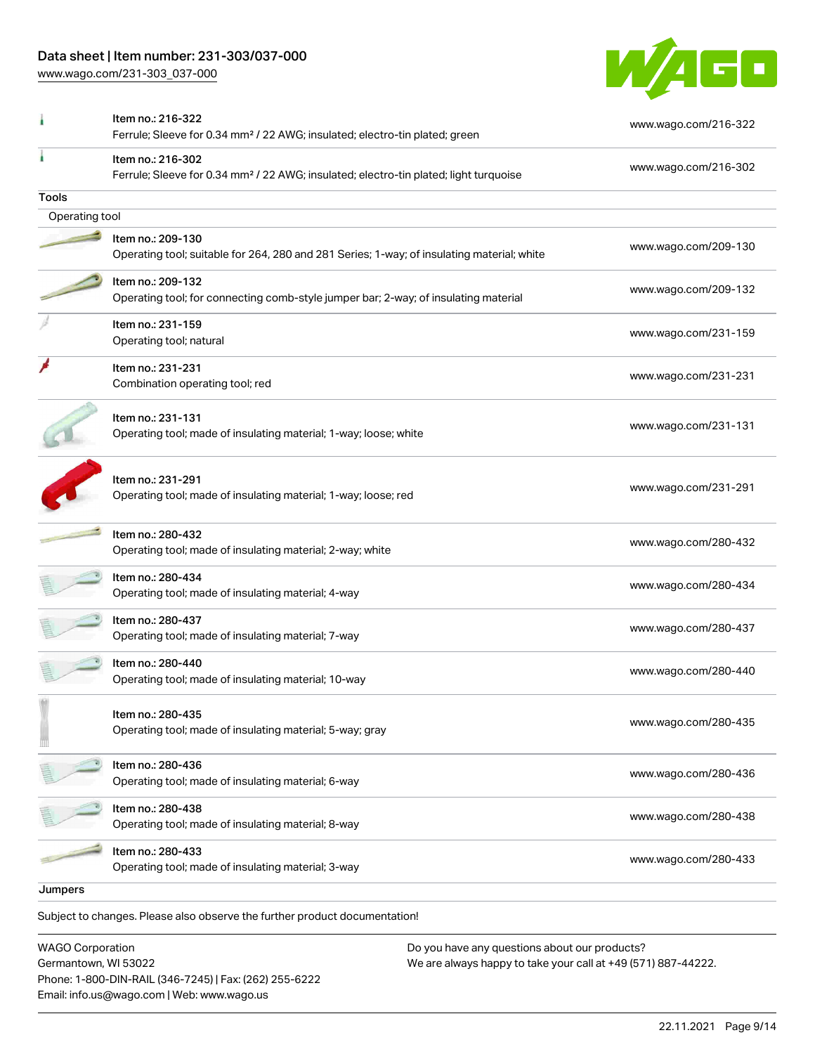## Data sheet | Item number: 231-303/037-000

[www.wago.com/231-303\\_037-000](http://www.wago.com/231-303_037-000)



|                | Item no.: 216-322<br>Ferrule; Sleeve for 0.34 mm <sup>2</sup> / 22 AWG; insulated; electro-tin plated; green           | www.wago.com/216-322 |
|----------------|------------------------------------------------------------------------------------------------------------------------|----------------------|
|                | Item no.: 216-302<br>Ferrule; Sleeve for 0.34 mm <sup>2</sup> / 22 AWG; insulated; electro-tin plated; light turquoise | www.wago.com/216-302 |
| Tools          |                                                                                                                        |                      |
| Operating tool |                                                                                                                        |                      |
|                | Item no.: 209-130<br>Operating tool; suitable for 264, 280 and 281 Series; 1-way; of insulating material; white        | www.wago.com/209-130 |
|                | Item no.: 209-132<br>Operating tool; for connecting comb-style jumper bar; 2-way; of insulating material               | www.wago.com/209-132 |
|                | Item no.: 231-159<br>Operating tool; natural                                                                           | www.wago.com/231-159 |
|                | Item no.: 231-231<br>Combination operating tool; red                                                                   | www.wago.com/231-231 |
|                | Item no.: 231-131<br>Operating tool; made of insulating material; 1-way; loose; white                                  | www.wago.com/231-131 |
|                | Item no.: 231-291<br>Operating tool; made of insulating material; 1-way; loose; red                                    | www.wago.com/231-291 |
|                | Item no.: 280-432<br>Operating tool; made of insulating material; 2-way; white                                         | www.wago.com/280-432 |
|                | Item no.: 280-434<br>Operating tool; made of insulating material; 4-way                                                | www.wago.com/280-434 |
|                | Item no.: 280-437<br>Operating tool; made of insulating material; 7-way                                                | www.wago.com/280-437 |
|                | Item no.: 280-440<br>Operating tool; made of insulating material; 10-way                                               | www.wago.com/280-440 |
|                | Item no.: 280-435<br>Operating tool; made of insulating material; 5-way; gray                                          | www.wago.com/280-435 |
|                | Item no.: 280-436<br>Operating tool; made of insulating material; 6-way                                                | www.wago.com/280-436 |
|                | Item no.: 280-438<br>Operating tool; made of insulating material; 8-way                                                | www.wago.com/280-438 |
|                | Item no.: 280-433<br>Operating tool; made of insulating material; 3-way                                                | www.wago.com/280-433 |
| Jumpers        |                                                                                                                        |                      |
|                | Subject to changes. Please also observe the further product documentation!                                             |                      |

WAGO Corporation Germantown, WI 53022 Phone: 1-800-DIN-RAIL (346-7245) | Fax: (262) 255-6222 Email: info.us@wago.com | Web: www.wago.us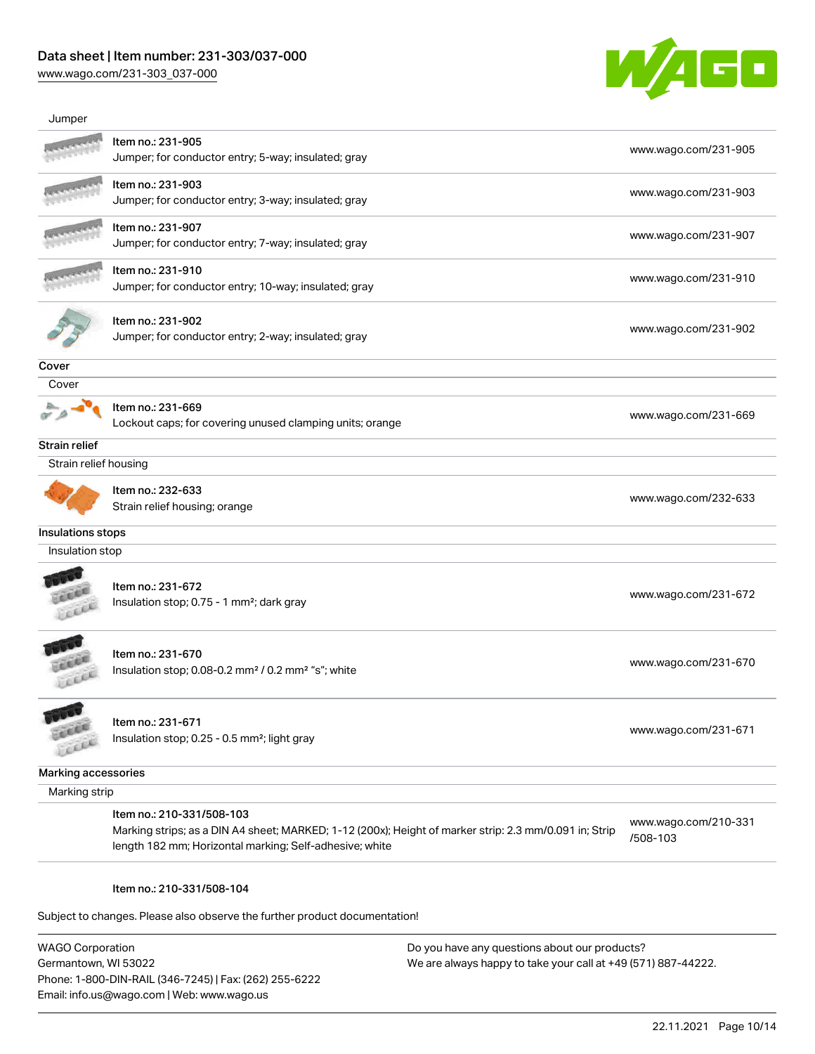## Data sheet | Item number: 231-303/037-000

[www.wago.com/231-303\\_037-000](http://www.wago.com/231-303_037-000)



| Jumper                |                                                                            |                      |
|-----------------------|----------------------------------------------------------------------------|----------------------|
|                       | Item no.: 231-905                                                          | www.wago.com/231-905 |
|                       | Jumper; for conductor entry; 5-way; insulated; gray                        |                      |
|                       | Item no.: 231-903                                                          |                      |
|                       | Jumper; for conductor entry; 3-way; insulated; gray                        | www.wago.com/231-903 |
|                       | Item no.: 231-907                                                          |                      |
|                       | Jumper; for conductor entry; 7-way; insulated; gray                        | www.wago.com/231-907 |
|                       | Item no.: 231-910                                                          | www.wago.com/231-910 |
|                       | Jumper; for conductor entry; 10-way; insulated; gray                       |                      |
|                       | Item no.: 231-902                                                          |                      |
|                       | Jumper; for conductor entry; 2-way; insulated; gray                        | www.wago.com/231-902 |
| Cover                 |                                                                            |                      |
| Cover                 |                                                                            |                      |
|                       | Item no.: 231-669                                                          |                      |
|                       | Lockout caps; for covering unused clamping units; orange                   | www.wago.com/231-669 |
| <b>Strain relief</b>  |                                                                            |                      |
| Strain relief housing |                                                                            |                      |
|                       | Item no.: 232-633                                                          |                      |
|                       | Strain relief housing; orange                                              | www.wago.com/232-633 |
| Insulations stops     |                                                                            |                      |
| Insulation stop       |                                                                            |                      |
|                       |                                                                            |                      |
|                       | Item no.: 231-672                                                          |                      |
|                       | Insulation stop; 0.75 - 1 mm <sup>2</sup> ; dark gray                      | www.wago.com/231-672 |
|                       |                                                                            |                      |
|                       |                                                                            |                      |
|                       | Item no.: 231-670                                                          | www.wago.com/231-670 |
|                       | Insulation stop; 0.08-0.2 mm <sup>2</sup> / 0.2 mm <sup>2</sup> "s"; white |                      |
|                       |                                                                            |                      |
|                       | Item no.: 231-671                                                          | www.wago.com/231-671 |
| LEEEE                 | Insulation stop; 0.25 - 0.5 mm <sup>2</sup> ; light gray                   |                      |
| Marking accessories   |                                                                            |                      |
| Marking strip         |                                                                            |                      |
|                       | Item no.: 210-331/508-103                                                  | www.wago.com/210-331 |
|                       |                                                                            |                      |

#### Item no.: 210-331/508-104

Subject to changes. Please also observe the further product documentation!

WAGO Corporation Germantown, WI 53022 Phone: 1-800-DIN-RAIL (346-7245) | Fax: (262) 255-6222 Email: info.us@wago.com | Web: www.wago.us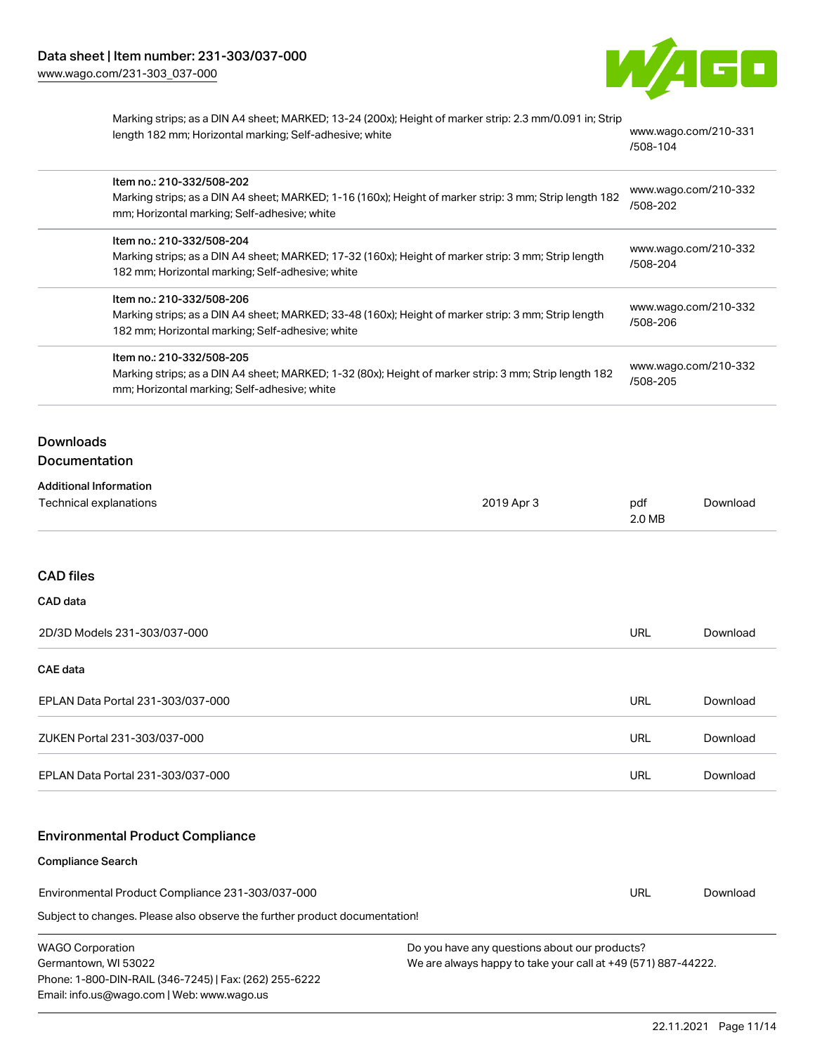

| Marking strips; as a DIN A4 sheet; MARKED; 13-24 (200x); Height of marker strip: 2.3 mm/0.091 in; Strip |           |
|---------------------------------------------------------------------------------------------------------|-----------|
| length 182 mm; Horizontal marking; Self-adhesive; white                                                 | <b>WW</b> |

w.wago.com/210-331 [/508-104](http://www.wago.com/210-331/508-104)

| Item no.: 210-332/508-202<br>Marking strips; as a DIN A4 sheet; MARKED; 1-16 (160x); Height of marker strip: 3 mm; Strip length 182<br>mm; Horizontal marking; Self-adhesive; white  |            | /508-202                         | www.wago.com/210-332 |
|--------------------------------------------------------------------------------------------------------------------------------------------------------------------------------------|------------|----------------------------------|----------------------|
| Item no.: 210-332/508-204<br>Marking strips; as a DIN A4 sheet; MARKED; 17-32 (160x); Height of marker strip: 3 mm; Strip length<br>182 mm; Horizontal marking; Self-adhesive; white |            | /508-204                         | www.wago.com/210-332 |
| Item no.: 210-332/508-206<br>Marking strips; as a DIN A4 sheet; MARKED; 33-48 (160x); Height of marker strip: 3 mm; Strip length<br>182 mm; Horizontal marking; Self-adhesive; white |            | /508-206                         | www.wago.com/210-332 |
| Item no.: 210-332/508-205<br>Marking strips; as a DIN A4 sheet; MARKED; 1-32 (80x); Height of marker strip: 3 mm; Strip length 182<br>mm; Horizontal marking; Self-adhesive; white   |            | www.wago.com/210-332<br>/508-205 |                      |
| <b>Downloads</b>                                                                                                                                                                     |            |                                  |                      |
| Documentation                                                                                                                                                                        |            |                                  |                      |
| <b>Additional Information</b><br><b>Technical explanations</b>                                                                                                                       | 2019 Apr 3 | pdf<br>2.0 MB                    | Download             |
| <b>CAD files</b>                                                                                                                                                                     |            |                                  |                      |
| CAD data                                                                                                                                                                             |            |                                  |                      |
| 2D/3D Models 231-303/037-000                                                                                                                                                         |            | URL                              | Download             |
| <b>CAE</b> data                                                                                                                                                                      |            |                                  |                      |
| EPLAN Data Portal 231-303/037-000                                                                                                                                                    |            | <b>URL</b>                       | Download             |
| ZUKEN Portal 231-303/037-000                                                                                                                                                         |            | URL                              | Download             |
| EPLAN Data Portal 231-303/037-000                                                                                                                                                    |            | <b>URL</b>                       | Download             |
| <b>Environmental Product Compliance</b>                                                                                                                                              |            |                                  |                      |
| <b>Compliance Search</b>                                                                                                                                                             |            |                                  |                      |
| Environmental Product Compliance 231-303/037-000                                                                                                                                     |            | URL                              | Download             |
| Subject to changes. Please also observe the further product documentation!                                                                                                           |            |                                  |                      |

| <b>WAGO Corporation</b>                                |
|--------------------------------------------------------|
| Germantown, WI 53022                                   |
| Phone: 1-800-DIN-RAIL (346-7245)   Fax: (262) 255-6222 |
| Email: info.us@wago.com   Web: www.wago.us             |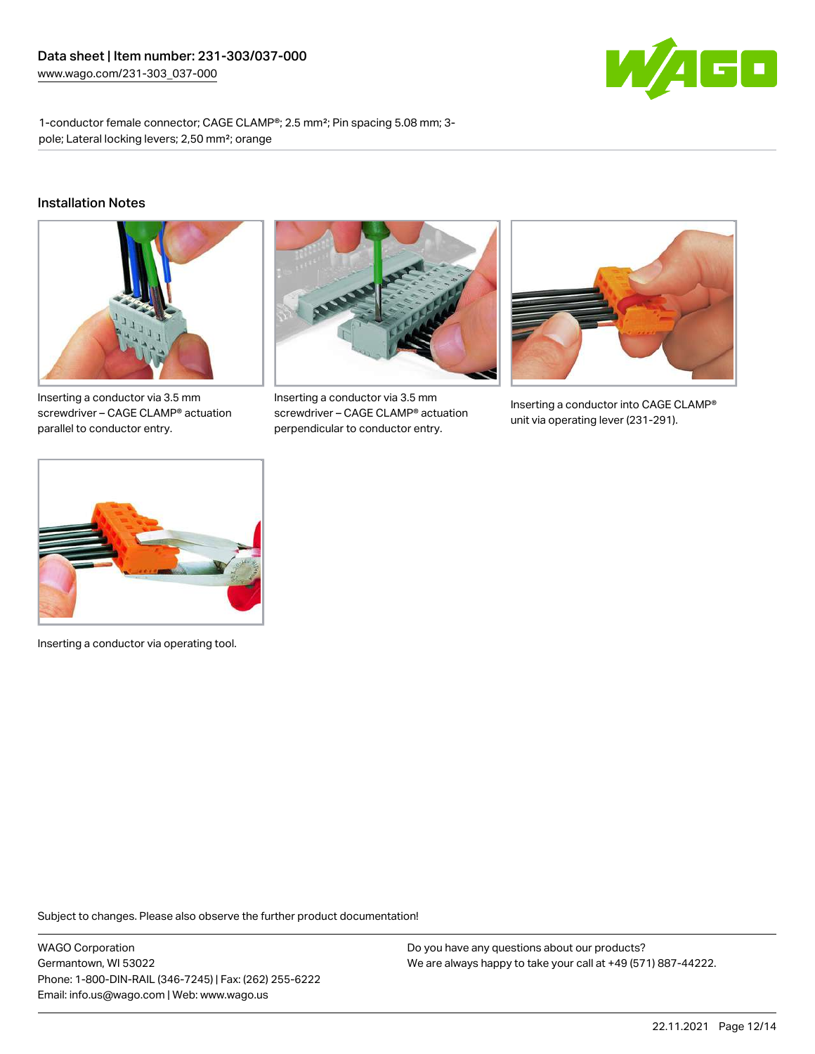

1-conductor female connector; CAGE CLAMP®; 2.5 mm²; Pin spacing 5.08 mm; 3 pole; Lateral locking levers; 2,50 mm²; orange

#### Installation Notes



Inserting a conductor via 3.5 mm screwdriver – CAGE CLAMP® actuation parallel to conductor entry.



Inserting a conductor via 3.5 mm screwdriver – CAGE CLAMP® actuation perpendicular to conductor entry.



Inserting a conductor into CAGE CLAMP® unit via operating lever (231-291).



Inserting a conductor via operating tool.

Subject to changes. Please also observe the further product documentation!

WAGO Corporation Germantown, WI 53022 Phone: 1-800-DIN-RAIL (346-7245) | Fax: (262) 255-6222 Email: info.us@wago.com | Web: www.wago.us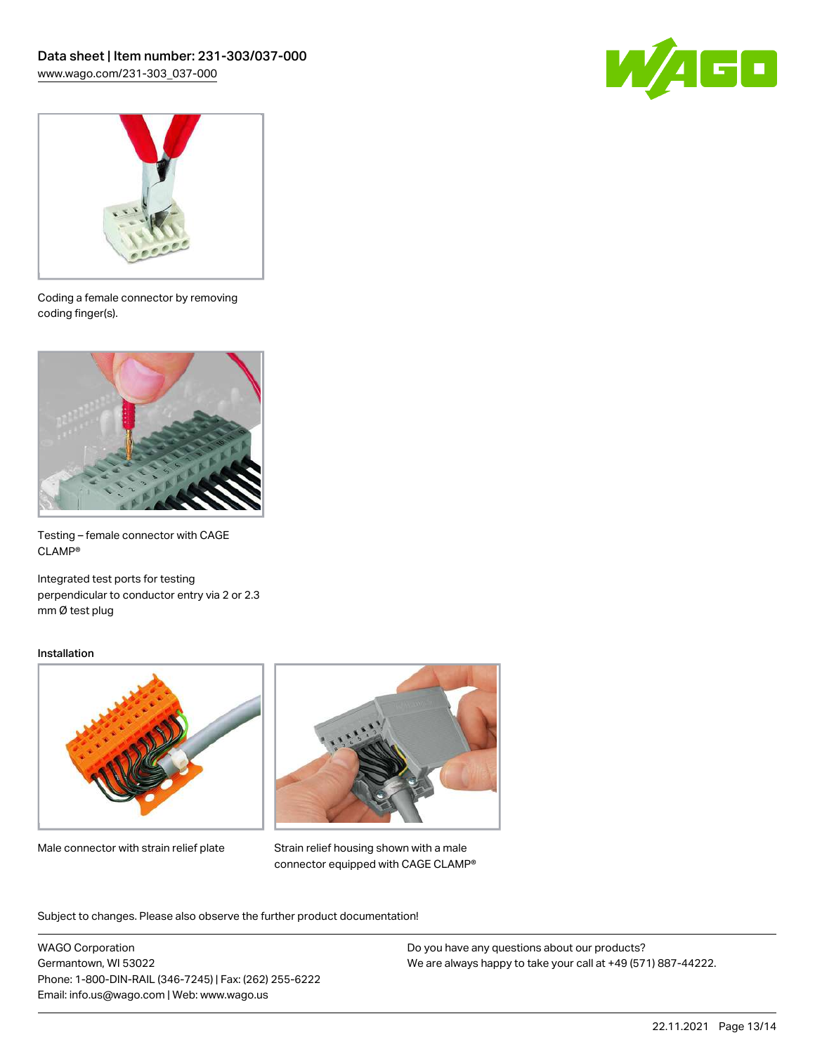



Coding a female connector by removing coding finger(s).



Testing – female connector with CAGE CLAMP®

Integrated test ports for testing perpendicular to conductor entry via 2 or 2.3 mm Ø test plug

#### Installation



Male connector with strain relief plate



Strain relief housing shown with a male connector equipped with CAGE CLAMP®

Subject to changes. Please also observe the further product documentation!

WAGO Corporation Germantown, WI 53022 Phone: 1-800-DIN-RAIL (346-7245) | Fax: (262) 255-6222 Email: info.us@wago.com | Web: www.wago.us